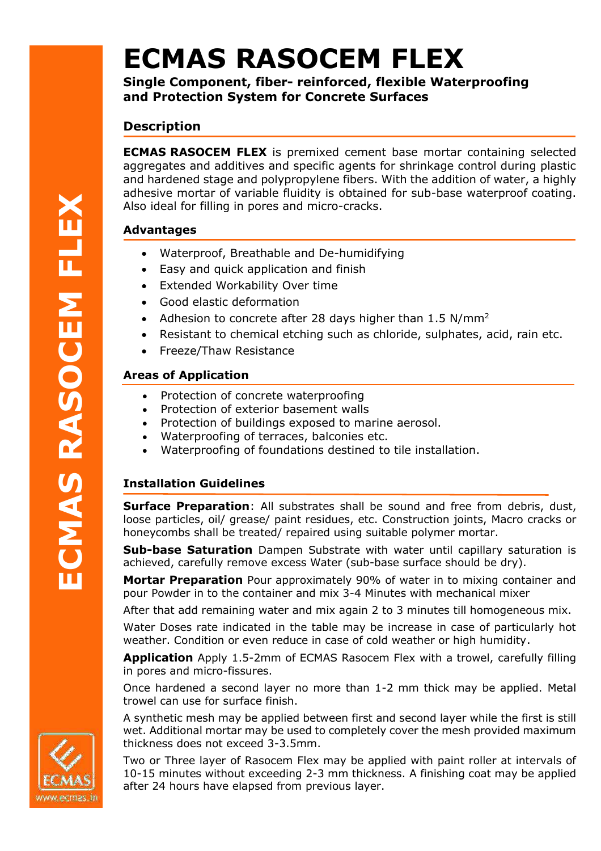# **ECMAS RASOCEM FLEX**

**Single Component, fiber- reinforced, flexible Waterproofing and Protection System for Concrete Surfaces**

# **Description**

**ECMAS RASOCEM FLEX** is premixed cement base mortar containing selected aggregates and additives and specific agents for shrinkage control during plastic and hardened stage and polypropylene fibers. With the addition of water, a highly adhesive mortar of variable fluidity is obtained for sub-base waterproof coating. Also ideal for filling in pores and micro-cracks.

## **Advantages**

- Waterproof, Breathable and De-humidifying
- Easy and quick application and finish
- Extended Workability Over time
- Good elastic deformation
- Adhesion to concrete after 28 days higher than  $1.5 \text{ N/mm}^2$
- Resistant to chemical etching such as chloride, sulphates, acid, rain etc.
- Freeze/Thaw Resistance

## **Areas of Application**

- Protection of concrete waterproofing
- Protection of exterior basement walls
- Protection of buildings exposed to marine aerosol.
- Waterproofing of terraces, balconies etc.
- Waterproofing of foundations destined to tile installation.

## **Installation Guidelines**

**Surface Preparation:** All substrates shall be sound and free from debris, dust, loose particles, oil/ grease/ paint residues, etc. Construction joints, Macro cracks or honeycombs shall be treated/ repaired using suitable polymer mortar.

**Sub-base Saturation** Dampen Substrate with water until capillary saturation is achieved, carefully remove excess Water (sub-base surface should be dry).

**Mortar Preparation** Pour approximately 90% of water in to mixing container and pour Powder in to the container and mix 3-4 Minutes with mechanical mixer

After that add remaining water and mix again 2 to 3 minutes till homogeneous mix.

Water Doses rate indicated in the table may be increase in case of particularly hot weather. Condition or even reduce in case of cold weather or high humidity.

**Application** Apply 1.5-2mm of ECMAS Rasocem Flex with a trowel, carefully filling in pores and micro-fissures.

Once hardened a second layer no more than 1-2 mm thick may be applied. Metal trowel can use for surface finish.

A synthetic mesh may be applied between first and second layer while the first is still wet. Additional mortar may be used to completely cover the mesh provided maximum thickness does not exceed 3-3.5mm.

Two or Three layer of Rasocem Flex may be applied with paint roller at intervals of 10-15 minutes without exceeding 2-3 mm thickness. A finishing coat may be applied after 24 hours have elapsed from previous layer.

**ECMAS RASOCEM FLEX**CMAS RASOCEM FLEX